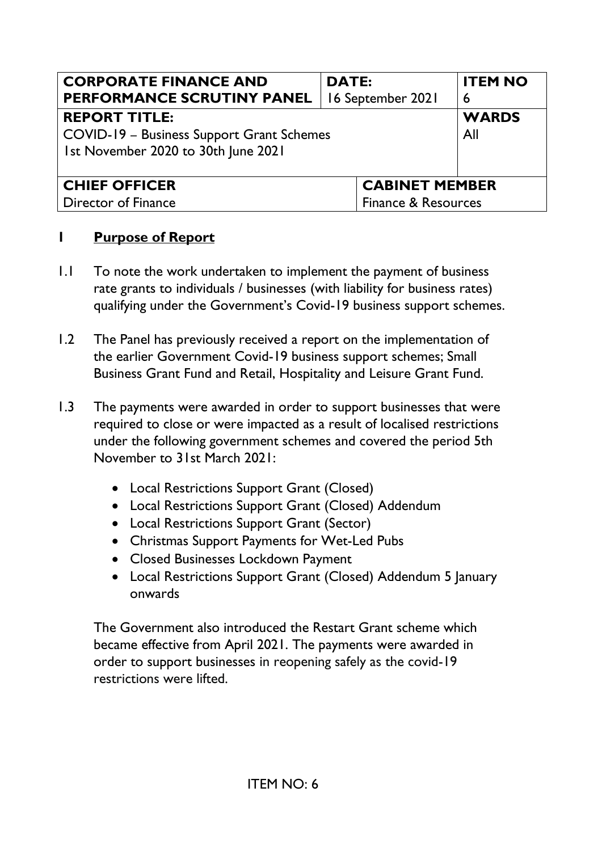| <b>CORPORATE FINANCE AND</b>              | <b>DATE:</b>          | <b>ITEM NO</b> |
|-------------------------------------------|-----------------------|----------------|
| PERFORMANCE SCRUTINY PANEL                | 16 September 2021     | 6              |
| <b>REPORT TITLE:</b>                      |                       | <b>WARDS</b>   |
| COVID-19 - Business Support Grant Schemes |                       | All            |
| 1st November 2020 to 30th June 2021       |                       |                |
|                                           |                       |                |
| <b>CHIEF OFFICER</b>                      | <b>CABINET MEMBER</b> |                |
| <b>Director of Finance</b>                | Finance & Resources   |                |

## **1 Purpose of Report**

- 1.1 To note the work undertaken to implement the payment of business rate grants to individuals / businesses (with liability for business rates) qualifying under the Government's Covid-19 business support schemes.
- 1.2 The Panel has previously received a report on the implementation of the earlier Government Covid-19 business support schemes; Small Business Grant Fund and Retail, Hospitality and Leisure Grant Fund.
- 1.3 The payments were awarded in order to support businesses that were required to close or were impacted as a result of localised restrictions under the following government schemes and covered the period 5th November to 31st March 2021:
	- Local Restrictions Support Grant (Closed)
	- Local Restrictions Support Grant (Closed) Addendum
	- Local Restrictions Support Grant (Sector)
	- Christmas Support Payments for Wet-Led Pubs
	- Closed Businesses Lockdown Payment
	- Local Restrictions Support Grant (Closed) Addendum 5 January onwards

 The Government also introduced the Restart Grant scheme which became effective from April 2021. The payments were awarded in order to support businesses in reopening safely as the covid-19 restrictions were lifted.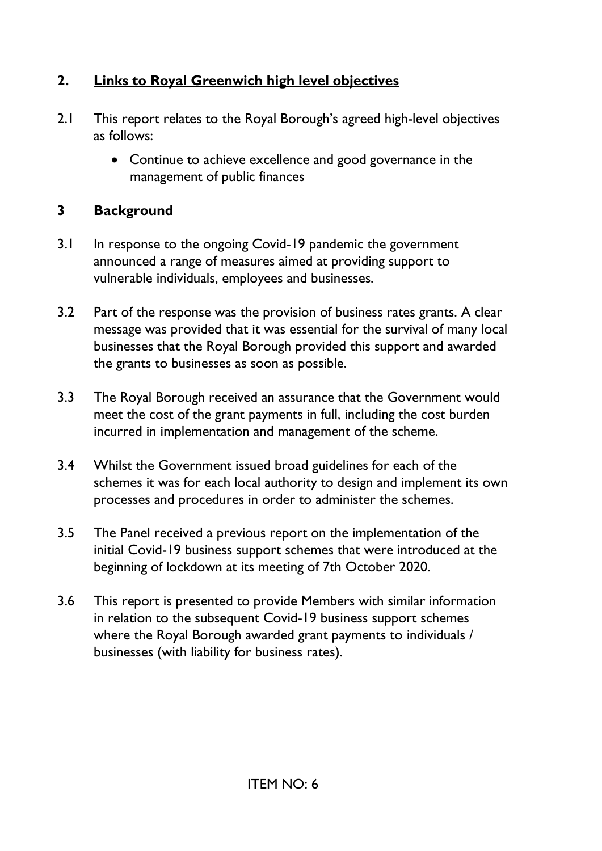# **2. Links to Royal Greenwich high level objectives**

- 2.1 This report relates to the Royal Borough's agreed high-level objectives as follows:
	- Continue to achieve excellence and good governance in the management of public finances

# **3 Background**

- 3.1 In response to the ongoing Covid-19 pandemic the government announced a range of measures aimed at providing support to vulnerable individuals, employees and businesses.
- 3.2 Part of the response was the provision of business rates grants. A clear message was provided that it was essential for the survival of many local businesses that the Royal Borough provided this support and awarded the grants to businesses as soon as possible.
- 3.3 The Royal Borough received an assurance that the Government would meet the cost of the grant payments in full, including the cost burden incurred in implementation and management of the scheme.
- 3.4 Whilst the Government issued broad guidelines for each of the schemes it was for each local authority to design and implement its own processes and procedures in order to administer the schemes.
- 3.5 The Panel received a previous report on the implementation of the initial Covid-19 business support schemes that were introduced at the beginning of lockdown at its meeting of 7th October 2020.
- 3.6 This report is presented to provide Members with similar information in relation to the subsequent Covid-19 business support schemes where the Royal Borough awarded grant payments to individuals / businesses (with liability for business rates).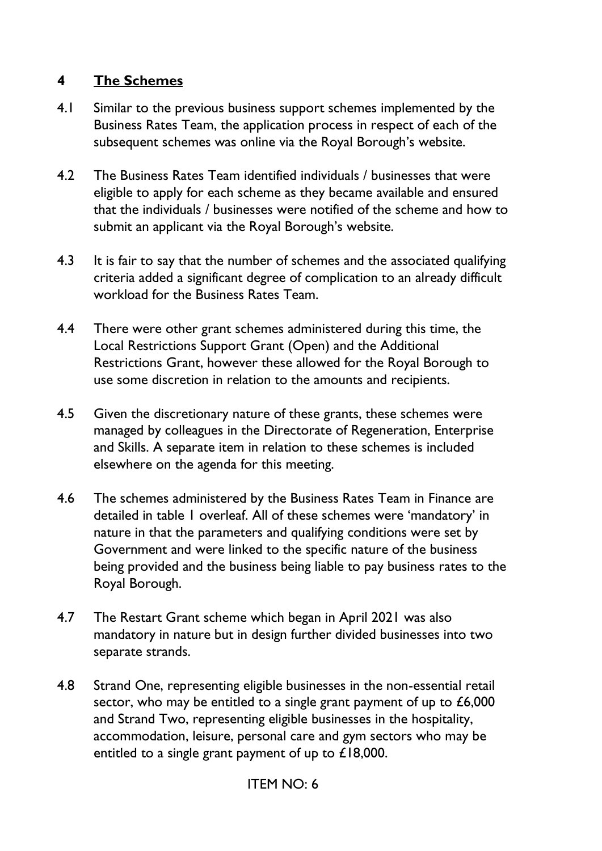## **4 The Schemes**

- 4.1 Similar to the previous business support schemes implemented by the Business Rates Team, the application process in respect of each of the subsequent schemes was online via the Royal Borough's website.
- 4.2 The Business Rates Team identified individuals / businesses that were eligible to apply for each scheme as they became available and ensured that the individuals / businesses were notified of the scheme and how to submit an applicant via the Royal Borough's website.
- 4.3 It is fair to say that the number of schemes and the associated qualifying criteria added a significant degree of complication to an already difficult workload for the Business Rates Team.
- 4.4 There were other grant schemes administered during this time, the Local Restrictions Support Grant (Open) and the Additional Restrictions Grant, however these allowed for the Royal Borough to use some discretion in relation to the amounts and recipients.
- 4.5 Given the discretionary nature of these grants, these schemes were managed by colleagues in the Directorate of Regeneration, Enterprise and Skills. A separate item in relation to these schemes is included elsewhere on the agenda for this meeting.
- 4.6 The schemes administered by the Business Rates Team in Finance are detailed in table 1 overleaf. All of these schemes were 'mandatory' in nature in that the parameters and qualifying conditions were set by Government and were linked to the specific nature of the business being provided and the business being liable to pay business rates to the Royal Borough.
- 4.7 The Restart Grant scheme which began in April 2021 was also mandatory in nature but in design further divided businesses into two separate strands.
- 4.8 Strand One, representing eligible businesses in the non-essential retail sector, who may be entitled to a single grant payment of up to £6,000 and Strand Two, representing eligible businesses in the hospitality, accommodation, leisure, personal care and gym sectors who may be entitled to a single grant payment of up to £18,000.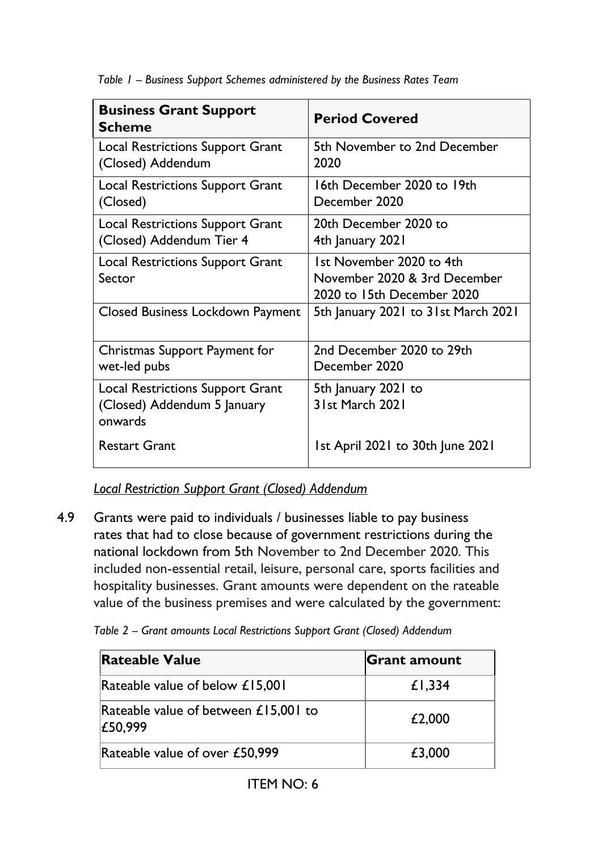*Table 1 – Business Support Schemes administered by the Business Rates Team* 

| <b>Business Grant Support</b><br><b>Scheme</b>                                    | <b>Period Covered</b>                                                                  |
|-----------------------------------------------------------------------------------|----------------------------------------------------------------------------------------|
| <b>Local Restrictions Support Grant</b><br>(Closed) Addendum                      | 5th November to 2nd December<br>2020                                                   |
| <b>Local Restrictions Support Grant</b><br>(Closed)                               | 16th December 2020 to 19th<br>December 2020                                            |
| <b>Local Restrictions Support Grant</b><br>(Closed) Addendum Tier 4               | 20th December 2020 to<br>4th January 2021                                              |
| <b>Local Restrictions Support Grant</b><br>Sector                                 | 1st November 2020 to 4th<br>November 2020 & 3rd December<br>2020 to 15th December 2020 |
| Closed Business Lockdown Payment                                                  | 5th January 2021 to 31st March 2021                                                    |
| Christmas Support Payment for<br>wet-led pubs                                     | 2nd December 2020 to 29th<br>December 2020                                             |
| <b>Local Restrictions Support Grant</b><br>(Closed) Addendum 5 January<br>onwards | 5th January 2021 to<br>31st March 2021                                                 |
| <b>Restart Grant</b>                                                              | 1st April 2021 to 30th June 2021                                                       |

*Local Restriction Support Grant (Closed) Addendum* 

4.9 Grants were paid to individuals / businesses liable to pay business rates that had to close because of government restrictions during the national lockdown from 5th November to 2nd December 2020. This included non-essential retail, leisure, personal care, sports facilities and hospitality businesses. Grant amounts were dependent on the rateable value of the business premises and were calculated by the government:

| Table 2 - Grant amounts Local Restrictions Support Grant (Closed) Addendum |  |  |  |
|----------------------------------------------------------------------------|--|--|--|
|----------------------------------------------------------------------------|--|--|--|

| <b>Rateable Value</b>                             | <b>Grant amount</b> |
|---------------------------------------------------|---------------------|
| Rateable value of below £15,001                   | £1,334              |
| Rateable value of between $£15,001$ to<br>£50,999 | £2,000              |
| Rateable value of over £50,999                    | £3,000              |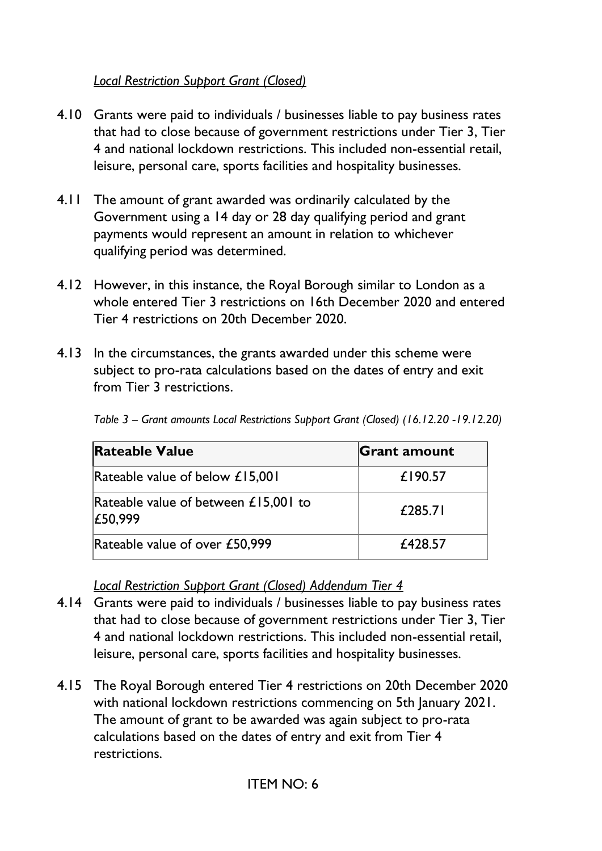## *Local Restriction Support Grant (Closed)*

- 4.10 Grants were paid to individuals / businesses liable to pay business rates that had to close because of government restrictions under Tier 3, Tier 4 and national lockdown restrictions. This included non-essential retail, leisure, personal care, sports facilities and hospitality businesses.
- 4.11 The amount of grant awarded was ordinarily calculated by the Government using a 14 day or 28 day qualifying period and grant payments would represent an amount in relation to whichever qualifying period was determined.
- 4.12 However, in this instance, the Royal Borough similar to London as a whole entered Tier 3 restrictions on 16th December 2020 and entered Tier 4 restrictions on 20th December 2020.
- 4.13 In the circumstances, the grants awarded under this scheme were subject to pro-rata calculations based on the dates of entry and exit from Tier 3 restrictions.

| <b>Rateable Value</b>                             | <b>Grant amount</b> |
|---------------------------------------------------|---------------------|
| Rateable value of below £15,001                   | £190.57             |
| Rateable value of between $£15,001$ to<br>£50,999 | £285.71             |
| Rateable value of over £50,999                    | £428.57             |

*Table 3 – Grant amounts Local Restrictions Support Grant (Closed) (16.12.20 -19.12.20)* 

*Local Restriction Support Grant (Closed) Addendum Tier 4* 

- 4.14 Grants were paid to individuals / businesses liable to pay business rates that had to close because of government restrictions under Tier 3, Tier 4 and national lockdown restrictions. This included non-essential retail, leisure, personal care, sports facilities and hospitality businesses.
- 4.15 The Royal Borough entered Tier 4 restrictions on 20th December 2020 with national lockdown restrictions commencing on 5th January 2021. The amount of grant to be awarded was again subject to pro-rata calculations based on the dates of entry and exit from Tier 4 restrictions.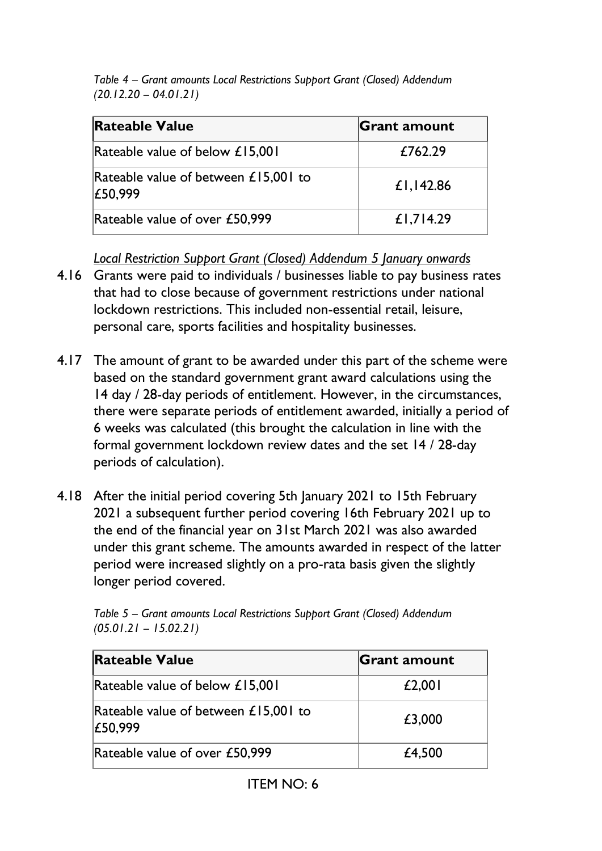*Table 4 – Grant amounts Local Restrictions Support Grant (Closed) Addendum (20.12.20 – 04.01.21)*

| <b>Rateable Value</b>                             | <b>Grant amount</b> |
|---------------------------------------------------|---------------------|
| Rateable value of below £15,001                   | £762.29             |
| Rateable value of between $£15,001$ to<br>£50,999 | £1,142.86           |
| Rateable value of over £50,999                    | £1,714.29           |

*Local Restriction Support Grant (Closed) Addendum 5 January onwards* 

- 4.16 Grants were paid to individuals / businesses liable to pay business rates that had to close because of government restrictions under national lockdown restrictions. This included non-essential retail, leisure, personal care, sports facilities and hospitality businesses.
- 4.17 The amount of grant to be awarded under this part of the scheme were based on the standard government grant award calculations using the 14 day / 28-day periods of entitlement. However, in the circumstances, there were separate periods of entitlement awarded, initially a period of 6 weeks was calculated (this brought the calculation in line with the formal government lockdown review dates and the set 14 / 28-day periods of calculation).
- 4.18 After the initial period covering 5th January 2021 to 15th February 2021 a subsequent further period covering 16th February 2021 up to the end of the financial year on 31st March 2021 was also awarded under this grant scheme. The amounts awarded in respect of the latter period were increased slightly on a pro-rata basis given the slightly longer period covered.

| <b>Rateable Value</b>                             | Grant amount |
|---------------------------------------------------|--------------|
| Rateable value of below £15,001                   | £2,001       |
| Rateable value of between $£15,001$ to<br>£50,999 | £3,000       |
| Rateable value of over £50,999                    | £4,500       |

*Table 5 – Grant amounts Local Restrictions Support Grant (Closed) Addendum (05.01.21 – 15.02.21)*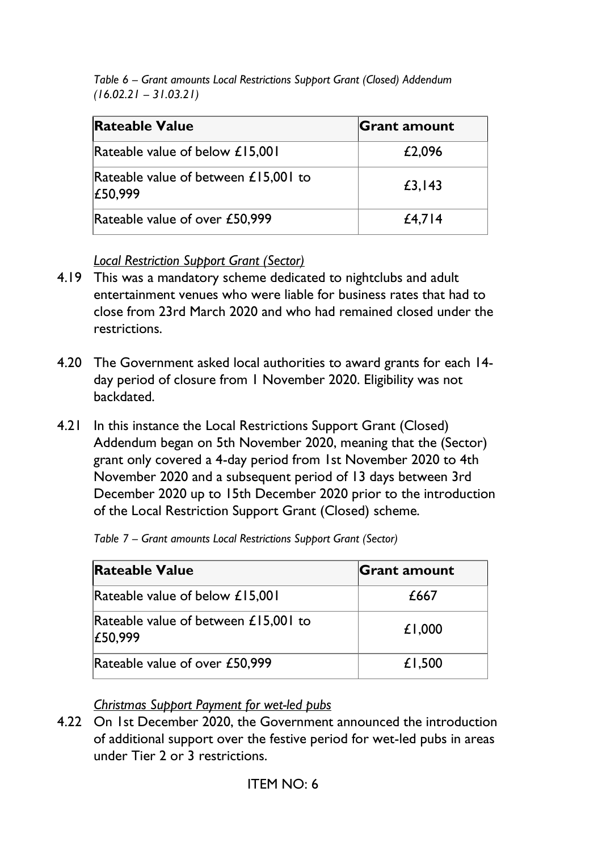*Table 6 – Grant amounts Local Restrictions Support Grant (Closed) Addendum (16.02.21 – 31.03.21)*

| <b>Rateable Value</b>                           | <b>Grant amount</b> |
|-------------------------------------------------|---------------------|
| Rateable value of below £15,001                 | £2,096              |
| Rateable value of between £15,001 to<br>£50,999 | £3,143              |
| Rateable value of over £50,999                  | $£4,7$  4           |

*Local Restriction Support Grant (Sector)* 

- 4.19 This was a mandatory scheme dedicated to nightclubs and adult entertainment venues who were liable for business rates that had to close from 23rd March 2020 and who had remained closed under the restrictions.
- 4.20 The Government asked local authorities to award grants for each 14 day period of closure from 1 November 2020. Eligibility was not backdated.
- 4.21 In this instance the Local Restrictions Support Grant (Closed) Addendum began on 5th November 2020, meaning that the (Sector) grant only covered a 4-day period from 1st November 2020 to 4th November 2020 and a subsequent period of 13 days between 3rd December 2020 up to 15th December 2020 prior to the introduction of the Local Restriction Support Grant (Closed) scheme.

| <b>Rateable Value</b>                           | <b>Grant amount</b> |
|-------------------------------------------------|---------------------|
| Rateable value of below £15,001                 | £667                |
| Rateable value of between £15,001 to<br>£50,999 | £1,000              |
| Rateable value of over £50,999                  | £1,500              |

*Table 7 – Grant amounts Local Restrictions Support Grant (Sector)*

*Christmas Support Payment for wet-led pubs*

4.22 On 1st December 2020, the Government announced the introduction of additional support over the festive period for wet-led pubs in areas under Tier 2 or 3 restrictions.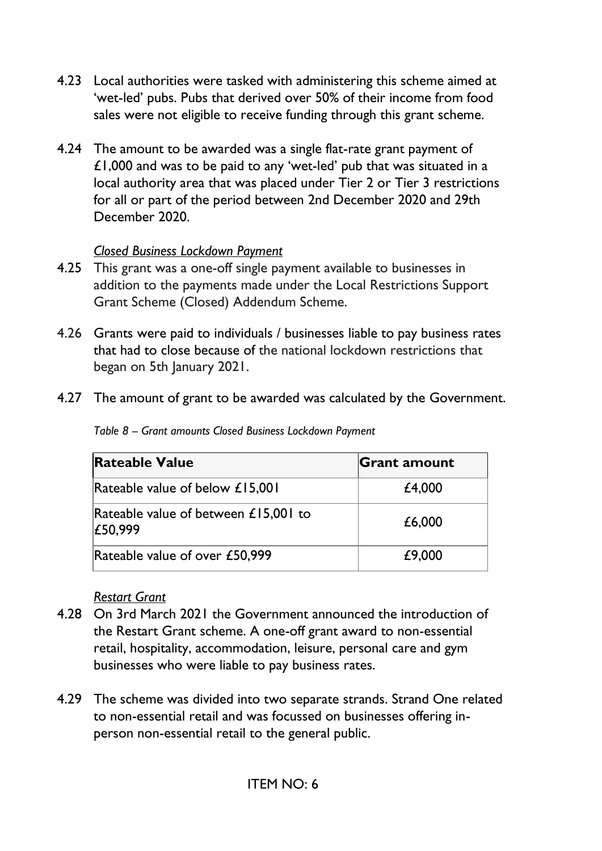- 4.23 Local authorities were tasked with administering this scheme aimed at 'wet-led' pubs. Pubs that derived over 50% of their income from food sales were not eligible to receive funding through this grant scheme.
- 4.24 The amount to be awarded was a single flat-rate grant payment of £1,000 and was to be paid to any 'wet-led' pub that was situated in a local authority area that was placed under Tier 2 or Tier 3 restrictions for all or part of the period between 2nd December 2020 and 29th December 2020.

## *Closed Business Lockdown Payment*

- 4.25 This grant was a one-off single payment available to businesses in addition to the payments made under the Local Restrictions Support Grant Scheme (Closed) Addendum Scheme.
- 4.26 Grants were paid to individuals / businesses liable to pay business rates that had to close because of the national lockdown restrictions that began on 5th January 2021.
- 4.27 The amount of grant to be awarded was calculated by the Government.

| Table 8 - Grant amounts Closed Business Lockdown Payment |  |
|----------------------------------------------------------|--|
|                                                          |  |

| <b>Rateable Value</b>                             | <b>Grant amount</b> |
|---------------------------------------------------|---------------------|
| Rateable value of below £15,001                   | £4,000              |
| Rateable value of between $£15,001$ to<br>£50,999 | £6,000              |
| Rateable value of over £50,999                    | £9,000              |

#### *Restart Grant*

- 4.28 On 3rd March 2021 the Government announced the introduction of the Restart Grant scheme. A one-off grant award to non-essential retail, hospitality, accommodation, leisure, personal care and gym businesses who were liable to pay business rates.
- 4.29 The scheme was divided into two separate strands. Strand One related to non-essential retail and was focussed on businesses offering inperson non-essential retail to the general public.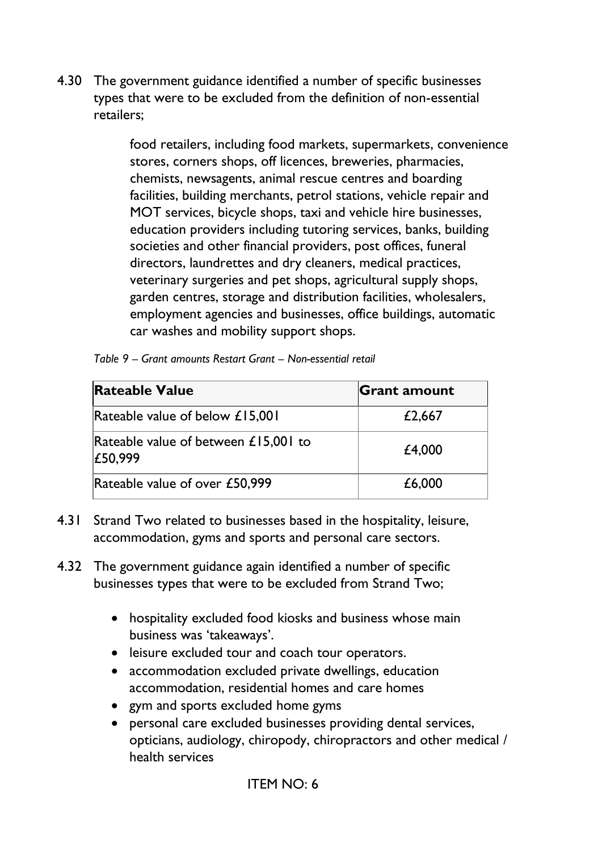4.30 The government guidance identified a number of specific businesses types that were to be excluded from the definition of non-essential retailers;

> food retailers, including food markets, supermarkets, convenience stores, corners shops, off licences, breweries, pharmacies, chemists, newsagents, animal rescue centres and boarding facilities, building merchants, petrol stations, vehicle repair and MOT services, bicycle shops, taxi and vehicle hire businesses, education providers including tutoring services, banks, building societies and other financial providers, post offices, funeral directors, laundrettes and dry cleaners, medical practices, veterinary surgeries and pet shops, agricultural supply shops, garden centres, storage and distribution facilities, wholesalers, employment agencies and businesses, office buildings, automatic car washes and mobility support shops.

| <b>Rateable Value</b>                             | <b>Grant amount</b> |
|---------------------------------------------------|---------------------|
| Rateable value of below £15,001                   | £2,667              |
| Rateable value of between $£15,001$ to<br>£50,999 | £4,000              |
| Rateable value of over £50,999                    | £6,000              |

|  | Table 9 – Grant amounts Restart Grant – Non-essential retail |
|--|--------------------------------------------------------------|
|  |                                                              |

- 4.31 Strand Two related to businesses based in the hospitality, leisure, accommodation, gyms and sports and personal care sectors.
- 4.32 The government guidance again identified a number of specific businesses types that were to be excluded from Strand Two;
	- hospitality excluded food kiosks and business whose main business was 'takeaways'.
	- leisure excluded tour and coach tour operators.
	- accommodation excluded private dwellings, education accommodation, residential homes and care homes
	- gym and sports excluded home gyms
	- personal care excluded businesses providing dental services, opticians, audiology, chiropody, chiropractors and other medical / health services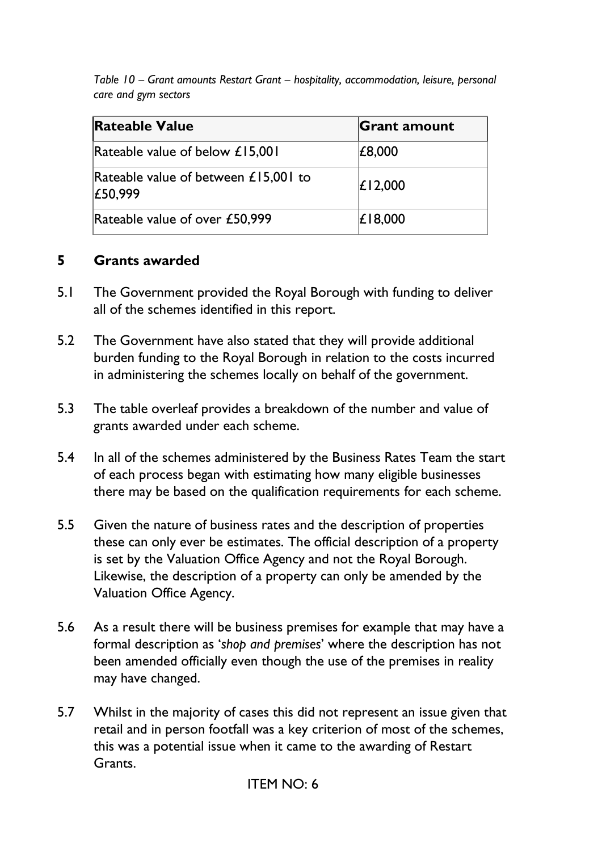*Table 10 – Grant amounts Restart Grant – hospitality, accommodation, leisure, personal care and gym sectors* 

| <b>Rateable Value</b>                             | <b>Grant amount</b> |
|---------------------------------------------------|---------------------|
| Rateable value of below £15,001                   | £8,000              |
| Rateable value of between $£15,001$ to<br>£50,999 | $\vert$ £12,000     |
| Rateable value of over £50,999                    | $\mathsf{E}$ 18,000 |

## **5 Grants awarded**

- 5.1 The Government provided the Royal Borough with funding to deliver all of the schemes identified in this report.
- 5.2 The Government have also stated that they will provide additional burden funding to the Royal Borough in relation to the costs incurred in administering the schemes locally on behalf of the government.
- 5.3 The table overleaf provides a breakdown of the number and value of grants awarded under each scheme.
- 5.4 In all of the schemes administered by the Business Rates Team the start of each process began with estimating how many eligible businesses there may be based on the qualification requirements for each scheme.
- 5.5 Given the nature of business rates and the description of properties these can only ever be estimates. The official description of a property is set by the Valuation Office Agency and not the Royal Borough. Likewise, the description of a property can only be amended by the Valuation Office Agency.
- 5.6 As a result there will be business premises for example that may have a formal description as '*shop and premises*' where the description has not been amended officially even though the use of the premises in reality may have changed.
- 5.7 Whilst in the majority of cases this did not represent an issue given that retail and in person footfall was a key criterion of most of the schemes, this was a potential issue when it came to the awarding of Restart Grants.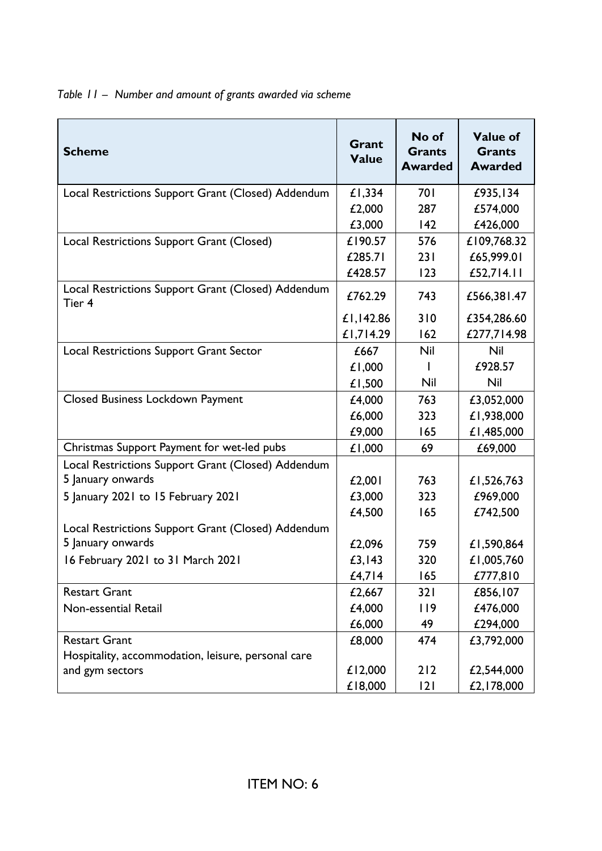*Table 11 – Number and amount of grants awarded via scheme* 

| <b>Scheme</b>                                                | Grant<br><b>Value</b> | No of<br><b>Grants</b><br><b>Awarded</b> | <b>Value of</b><br><b>Grants</b><br><b>Awarded</b> |
|--------------------------------------------------------------|-----------------------|------------------------------------------|----------------------------------------------------|
| Local Restrictions Support Grant (Closed) Addendum           | £1,334                | 701                                      | £935,134                                           |
|                                                              | £2,000                | 287                                      | £574,000                                           |
|                                                              | £3,000                | 142                                      | £426,000                                           |
| Local Restrictions Support Grant (Closed)                    | £190.57               | 576                                      | £109,768.32                                        |
|                                                              | £285.71               | 231                                      | £65,999.01                                         |
|                                                              | £428.57               | 123                                      | £52,714.11                                         |
| Local Restrictions Support Grant (Closed) Addendum<br>Tier 4 | £762.29               | 743                                      | £566,381.47                                        |
|                                                              | £1,142.86             | 310                                      | £354,286.60                                        |
|                                                              | £1,714.29             | 162                                      | £277,714.98                                        |
| <b>Local Restrictions Support Grant Sector</b>               | £667                  | <b>Nil</b>                               | Nil                                                |
|                                                              | £1,000                |                                          | £928.57                                            |
|                                                              | £1,500                | Nil                                      | Nil                                                |
| <b>Closed Business Lockdown Payment</b>                      | £4,000                | 763                                      | £3,052,000                                         |
|                                                              | £6,000                | 323                                      | £1,938,000                                         |
|                                                              | £9,000                | 165                                      | £1,485,000                                         |
| Christmas Support Payment for wet-led pubs                   | £1,000                | 69                                       | £69,000                                            |
| Local Restrictions Support Grant (Closed) Addendum           |                       |                                          |                                                    |
| 5 January onwards                                            | £2,001                | 763                                      | £1,526,763                                         |
| 5 January 2021 to 15 February 2021                           | £3,000                | 323                                      | £969,000                                           |
|                                                              | £4,500                | 165                                      | £742,500                                           |
| Local Restrictions Support Grant (Closed) Addendum           |                       |                                          |                                                    |
| 5 January onwards                                            | £2,096                | 759                                      | £1,590,864                                         |
| 16 February 2021 to 31 March 2021                            | £3,143                | 320                                      | £1,005,760                                         |
|                                                              | £4,7 4                | 165                                      | £777,810                                           |
| <b>Restart Grant</b>                                         | £2,667                | 321                                      | £856,107                                           |
| Non-essential Retail                                         | £4,000                | 119                                      | £476,000                                           |
|                                                              | £6,000                | 49                                       | £294,000                                           |
| <b>Restart Grant</b>                                         | £8,000                | 474                                      | £3,792,000                                         |
| Hospitality, accommodation, leisure, personal care           |                       |                                          |                                                    |
| and gym sectors                                              | £12,000               | 212                                      | £2,544,000                                         |
|                                                              | £18,000               | 2                                        | £2,178,000                                         |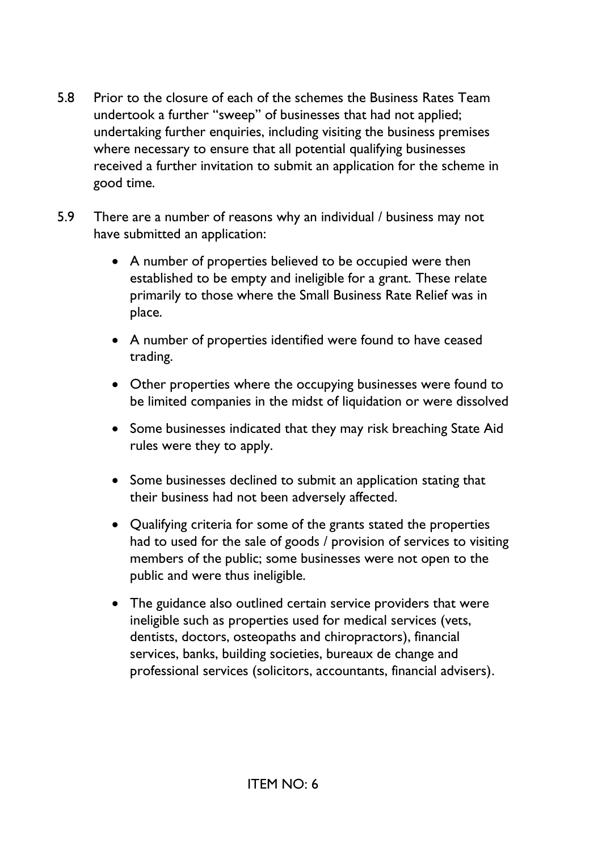- 5.8 Prior to the closure of each of the schemes the Business Rates Team undertook a further "sweep" of businesses that had not applied; undertaking further enquiries, including visiting the business premises where necessary to ensure that all potential qualifying businesses received a further invitation to submit an application for the scheme in good time.
- 5.9 There are a number of reasons why an individual / business may not have submitted an application:
	- A number of properties believed to be occupied were then established to be empty and ineligible for a grant. These relate primarily to those where the Small Business Rate Relief was in place.
	- A number of properties identified were found to have ceased trading.
	- Other properties where the occupying businesses were found to be limited companies in the midst of liquidation or were dissolved
	- Some businesses indicated that they may risk breaching State Aid rules were they to apply.
	- Some businesses declined to submit an application stating that their business had not been adversely affected.
	- Qualifying criteria for some of the grants stated the properties had to used for the sale of goods / provision of services to visiting members of the public; some businesses were not open to the public and were thus ineligible.
	- The guidance also outlined certain service providers that were ineligible such as properties used for medical services (vets, dentists, doctors, osteopaths and chiropractors), financial services, banks, building societies, bureaux de change and professional services (solicitors, accountants, financial advisers).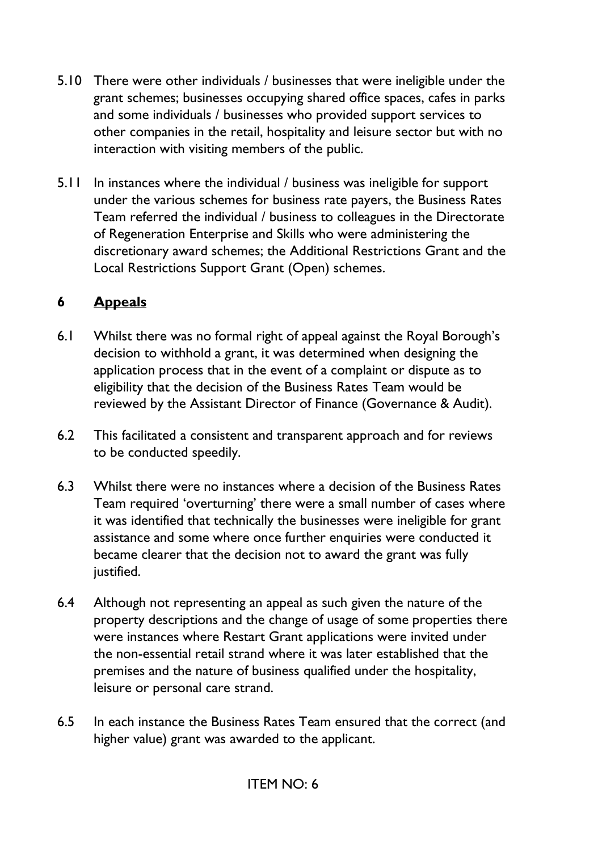- 5.10 There were other individuals / businesses that were ineligible under the grant schemes; businesses occupying shared office spaces, cafes in parks and some individuals / businesses who provided support services to other companies in the retail, hospitality and leisure sector but with no interaction with visiting members of the public.
- 5.11 In instances where the individual / business was ineligible for support under the various schemes for business rate payers, the Business Rates Team referred the individual / business to colleagues in the Directorate of Regeneration Enterprise and Skills who were administering the discretionary award schemes; the Additional Restrictions Grant and the Local Restrictions Support Grant (Open) schemes.

## **6 Appeals**

- 6.1 Whilst there was no formal right of appeal against the Royal Borough's decision to withhold a grant, it was determined when designing the application process that in the event of a complaint or dispute as to eligibility that the decision of the Business Rates Team would be reviewed by the Assistant Director of Finance (Governance & Audit).
- 6.2 This facilitated a consistent and transparent approach and for reviews to be conducted speedily.
- 6.3 Whilst there were no instances where a decision of the Business Rates Team required 'overturning' there were a small number of cases where it was identified that technically the businesses were ineligible for grant assistance and some where once further enquiries were conducted it became clearer that the decision not to award the grant was fully justified.
- 6.4 Although not representing an appeal as such given the nature of the property descriptions and the change of usage of some properties there were instances where Restart Grant applications were invited under the non-essential retail strand where it was later established that the premises and the nature of business qualified under the hospitality, leisure or personal care strand.
- 6.5 In each instance the Business Rates Team ensured that the correct (and higher value) grant was awarded to the applicant.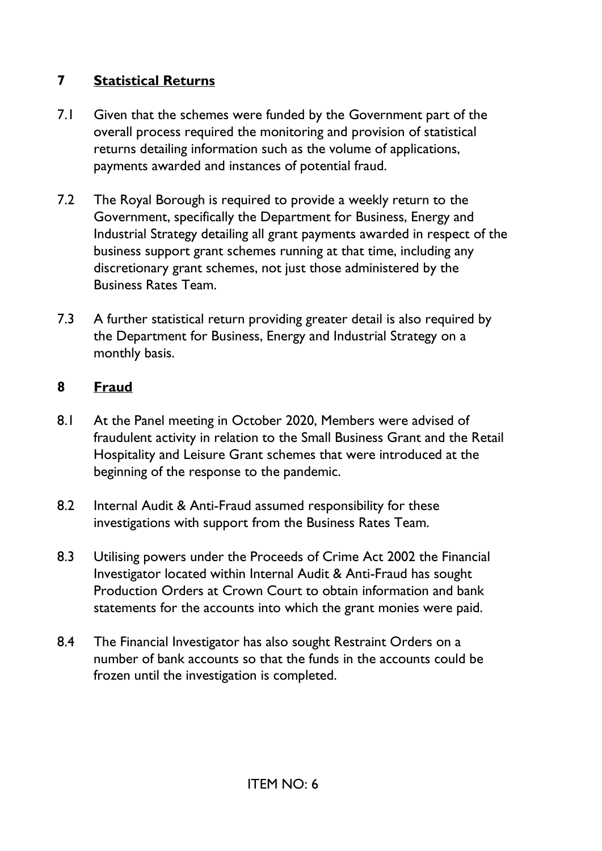# **7 Statistical Returns**

- 7.1 Given that the schemes were funded by the Government part of the overall process required the monitoring and provision of statistical returns detailing information such as the volume of applications, payments awarded and instances of potential fraud.
- 7.2 The Royal Borough is required to provide a weekly return to the Government, specifically the Department for Business, Energy and Industrial Strategy detailing all grant payments awarded in respect of the business support grant schemes running at that time, including any discretionary grant schemes, not just those administered by the Business Rates Team.
- 7.3 A further statistical return providing greater detail is also required by the Department for Business, Energy and Industrial Strategy on a monthly basis.

## **8 Fraud**

- 8.1 At the Panel meeting in October 2020, Members were advised of fraudulent activity in relation to the Small Business Grant and the Retail Hospitality and Leisure Grant schemes that were introduced at the beginning of the response to the pandemic.
- 8.2 Internal Audit & Anti-Fraud assumed responsibility for these investigations with support from the Business Rates Team.
- 8.3 Utilising powers under the Proceeds of Crime Act 2002 the Financial Investigator located within Internal Audit & Anti-Fraud has sought Production Orders at Crown Court to obtain information and bank statements for the accounts into which the grant monies were paid.
- 8.4 The Financial Investigator has also sought Restraint Orders on a number of bank accounts so that the funds in the accounts could be frozen until the investigation is completed.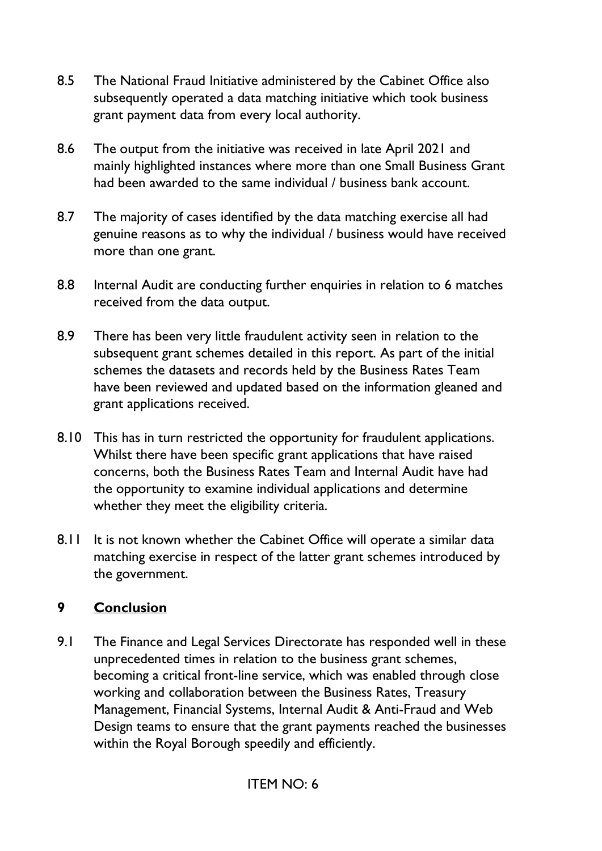- 8.5 The National Fraud Initiative administered by the Cabinet Office also subsequently operated a data matching initiative which took business grant payment data from every local authority.
- 8.6 The output from the initiative was received in late April 2021 and mainly highlighted instances where more than one Small Business Grant had been awarded to the same individual / business bank account.
- 8.7 The majority of cases identified by the data matching exercise all had genuine reasons as to why the individual / business would have received more than one grant.
- 8.8 Internal Audit are conducting further enquiries in relation to 6 matches received from the data output.
- 8.9 There has been very little fraudulent activity seen in relation to the subsequent grant schemes detailed in this report. As part of the initial schemes the datasets and records held by the Business Rates Team have been reviewed and updated based on the information gleaned and grant applications received.
- 8.10 This has in turn restricted the opportunity for fraudulent applications. Whilst there have been specific grant applications that have raised concerns, both the Business Rates Team and Internal Audit have had the opportunity to examine individual applications and determine whether they meet the eligibility criteria.
- 8.11 It is not known whether the Cabinet Office will operate a similar data matching exercise in respect of the latter grant schemes introduced by the government.

## **9 Conclusion**

9.1 The Finance and Legal Services Directorate has responded well in these unprecedented times in relation to the business grant schemes, becoming a critical front-line service, which was enabled through close working and collaboration between the Business Rates, Treasury Management, Financial Systems, Internal Audit & Anti-Fraud and Web Design teams to ensure that the grant payments reached the businesses within the Royal Borough speedily and efficiently.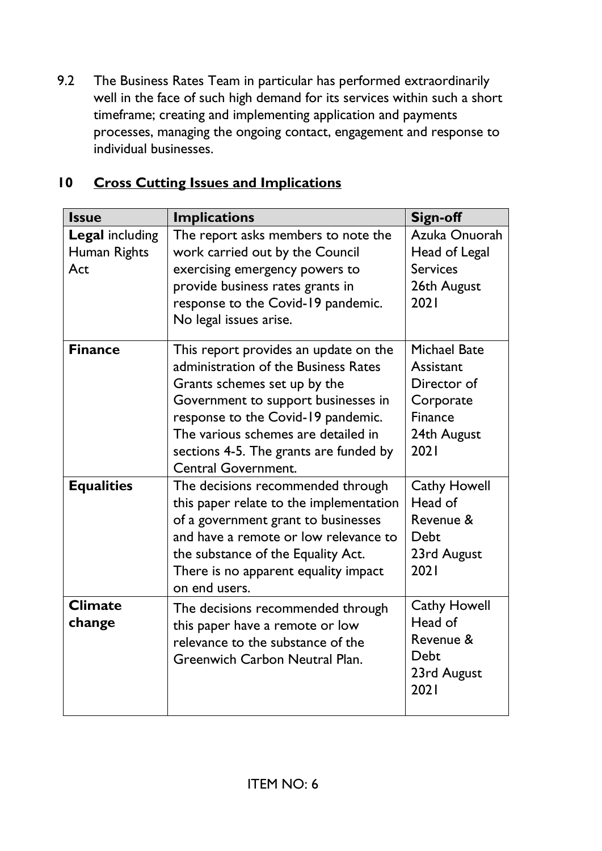9.2 The Business Rates Team in particular has performed extraordinarily well in the face of such high demand for its services within such a short timeframe; creating and implementing application and payments processes, managing the ongoing contact, engagement and response to individual businesses.

| $\overline{10}$ |  |  | <b>Cross Cutting Issues and Implications</b> |
|-----------------|--|--|----------------------------------------------|
|                 |  |  |                                              |

| <b>Issue</b>                                  | <b>Implications</b>                                                                                                                                                                                                                                                                                       | Sign-off                                                                                              |
|-----------------------------------------------|-----------------------------------------------------------------------------------------------------------------------------------------------------------------------------------------------------------------------------------------------------------------------------------------------------------|-------------------------------------------------------------------------------------------------------|
| <b>Legal including</b><br>Human Rights<br>Act | The report asks members to note the<br>work carried out by the Council<br>exercising emergency powers to<br>provide business rates grants in<br>response to the Covid-19 pandemic.<br>No legal issues arise.                                                                                              | Azuka Onuorah<br>Head of Legal<br><b>Services</b><br>26th August<br>2021                              |
| <b>Finance</b>                                | This report provides an update on the<br>administration of the Business Rates<br>Grants schemes set up by the<br>Government to support businesses in<br>response to the Covid-19 pandemic.<br>The various schemes are detailed in<br>sections 4-5. The grants are funded by<br><b>Central Government.</b> | <b>Michael Bate</b><br>Assistant<br>Director of<br>Corporate<br><b>Finance</b><br>24th August<br>2021 |
| <b>Equalities</b>                             | The decisions recommended through<br>this paper relate to the implementation<br>of a government grant to businesses<br>and have a remote or low relevance to<br>the substance of the Equality Act.<br>There is no apparent equality impact<br>on end users.                                               | <b>Cathy Howell</b><br>Head of<br>Revenue &<br>Debt<br>23rd August<br>2021                            |
| <b>Climate</b><br>change                      | The decisions recommended through<br>this paper have a remote or low<br>relevance to the substance of the<br>Greenwich Carbon Neutral Plan.                                                                                                                                                               | <b>Cathy Howell</b><br>Head of<br>Revenue &<br>Debt<br>23rd August<br>2021                            |